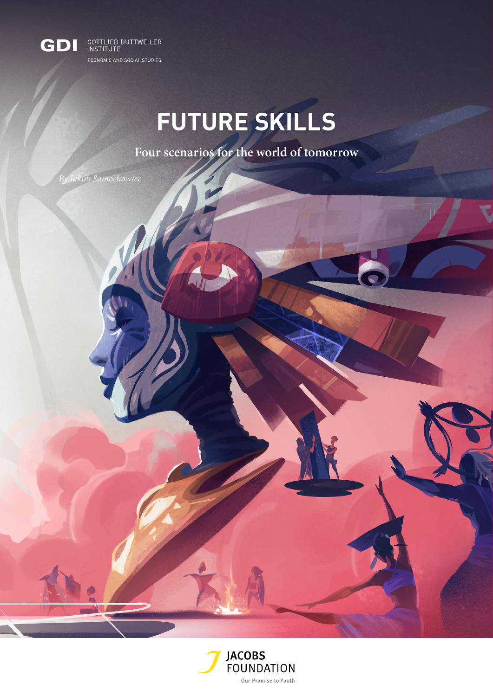

# **FUTURE SKILLS**

**Four scenarios for the world of tomorrow**

*By Jakub Samochowiec*

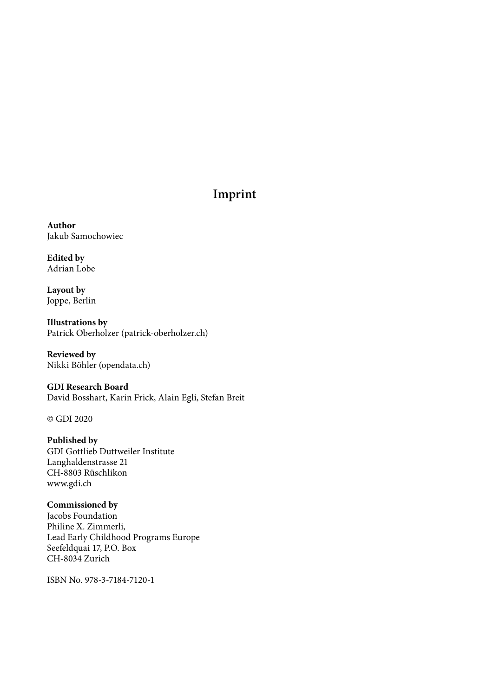### **Imprint**

**Author** Jakub Samochowiec

**Edited by** Adrian Lobe

**Layout by** Joppe, Berlin

**Illustrations by** Patrick Oberholzer (patrick-oberholzer.ch)

**Reviewed by** Nikki Böhler (opendata.ch)

### **GDI Research Board**

David Bosshart, Karin Frick, Alain Egli, Stefan Breit

© GDI 2020

**Published by** GDI Gottlieb Duttweiler Institute Langhaldenstrasse 21 CH-8803 Rüschlikon www.gdi.ch

**Commissioned by** Jacobs Foundation Philine X. Zimmerli, Lead Early Childhood Programs Europe Seefeldquai 17, P.O. Box CH-8034 Zurich

ISBN No. 978-3-7184-7120-1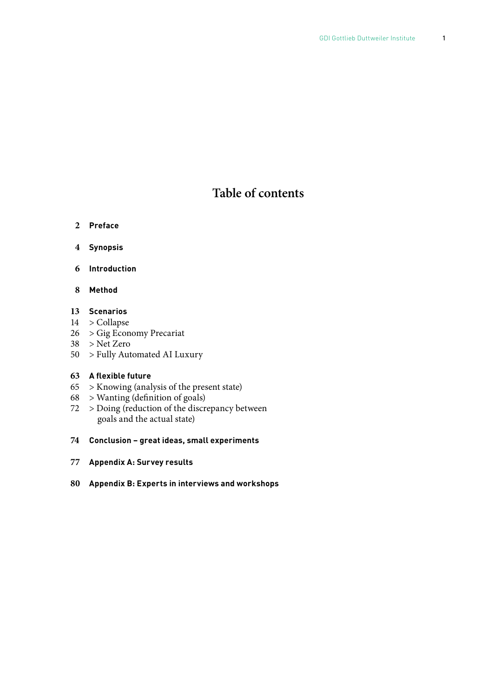### **Table of contents**

- **Preface**
- **4 Synopsis**
- **6 Introduction**
- **8 Method**

### **Scenarios**

- > Collapse
- > Gig Economy Precariat
- > Net Zero
- > Fully Automated AI Luxury

### **A flexible future**

- > Knowing (analysis of the present state)
- > Wanting (definition of goals)
- > Doing (reduction of the discrepancy between goals and the actual state)
- **Conclusion great ideas, small experiments**
- **Appendix A: Survey results**
- **Appendix B: Experts in interviews and workshops**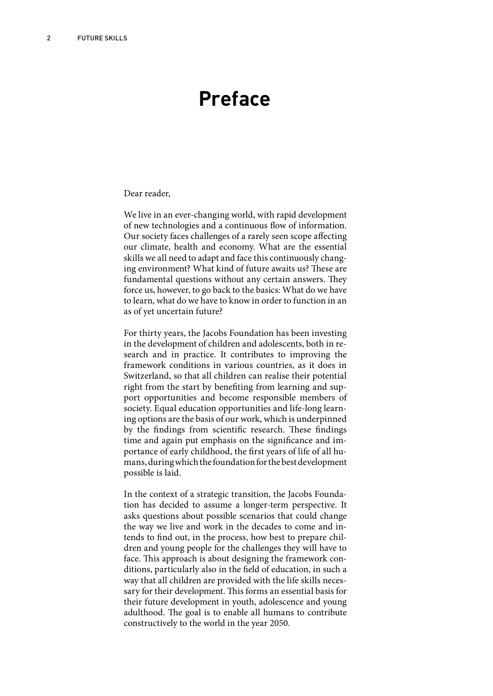# **Preface**

#### Dear reader,

We live in an ever-changing world, with rapid development of new technologies and a continuous flow of information. Our society faces challenges of a rarely seen scope affecting our climate, health and economy. What are the essential skills we all need to adapt and face this continuously changing environment? What kind of future awaits us? These are fundamental questions without any certain answers. They force us, however, to go back to the basics: What do we have to learn, what do we have to know in order to function in an as of yet uncertain future?

For thirty years, the Jacobs Foundation has been investing in the development of children and adolescents, both in research and in practice. It contributes to improving the framework conditions in various countries, as it does in Switzerland, so that all children can realise their potential right from the start by benefiting from learning and support opportunities and become responsible members of society. Equal education opportunities and life-long learning options are the basis of our work, which is underpinned by the findings from scientific research. These findings time and again put emphasis on the significance and importance of early childhood, the first years of life of all humans, during which the foundation for the best development possible is laid.

In the context of a strategic transition, the Jacobs Foundation has decided to assume a longer-term perspective. It asks questions about possible scenarios that could change the way we live and work in the decades to come and intends to find out, in the process, how best to prepare children and young people for the challenges they will have to face. This approach is about designing the framework conditions, particularly also in the field of education, in such a way that all children are provided with the life skills necessary for their development. This forms an essential basis for their future development in youth, adolescence and young adulthood. The goal is to enable all humans to contribute constructively to the world in the year 2050.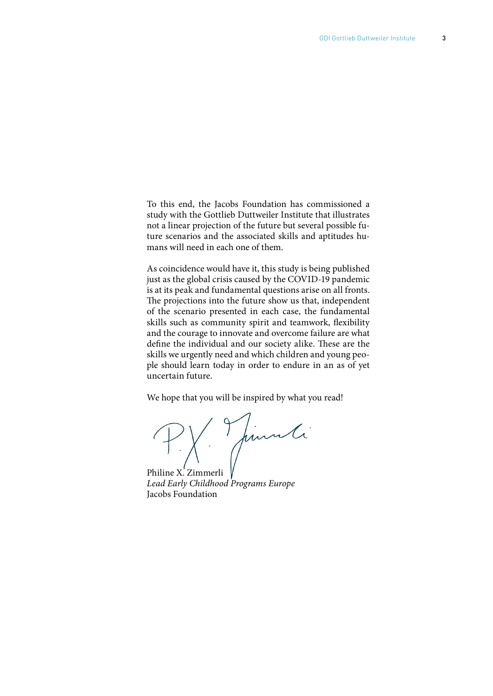To this end, the Jacobs Foundation has commissioned a study with the Gottlieb Duttweiler Institute that illustrates not a linear projection of the future but several possible future scenarios and the associated skills and aptitudes humans will need in each one of them.

As coincidence would have it, this study is being published just as the global crisis caused by the COVID-19 pandemic is at its peak and fundamental questions arise on all fronts. The projections into the future show us that, independent of the scenario presented in each case, the fundamental skills such as community spirit and teamwork, flexibility and the courage to innovate and overcome failure are what define the individual and our society alike. These are the skills we urgently need and which children and young people should learn today in order to endure in an as of yet uncertain future.

We hope that you will be inspired by what you read!

PX Juinne

Philine X. Zimmerli *Lead Early Childhood Programs Europe* Jacobs Foundation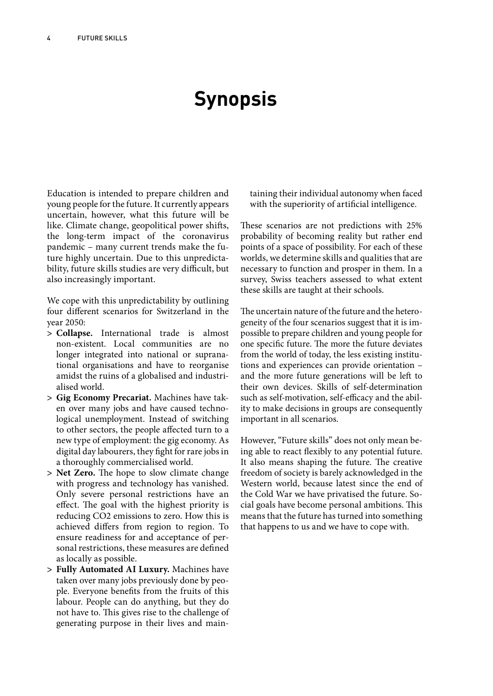# **Synopsis**

Education is intended to prepare children and young people for the future. It currently appears uncertain, however, what this future will be like. Climate change, geopolitical power shifts, the long-term impact of the coronavirus pandemic – many current trends make the future highly uncertain. Due to this unpredictability, future skills studies are very difficult, but also increasingly important.

We cope with this unpredictability by outlining four different scenarios for Switzerland in the year 2050:

- **> Collapse.** International trade is almost non-existent. Local communities are no longer integrated into national or supranational organisations and have to reorganise amidst the ruins of a globalised and industrialised world.
- **> Gig Economy Precariat.** Machines have taken over many jobs and have caused technological unemployment. Instead of switching to other sectors, the people affected turn to a new type of employment: the gig economy. As digital day labourers, they fight for rare jobs in a thoroughly commercialised world.
- **> Net Zero.** The hope to slow climate change with progress and technology has vanished. Only severe personal restrictions have an effect. The goal with the highest priority is reducing CO2 emissions to zero. How this is achieved differs from region to region. To ensure readiness for and acceptance of personal restrictions, these measures are defined as locally as possible.
- **> Fully Automated AI Luxury.** Machines have taken over many jobs previously done by people. Everyone benefits from the fruits of this labour. People can do anything, but they do not have to. This gives rise to the challenge of generating purpose in their lives and main-

taining their individual autonomy when faced with the superiority of artificial intelligence.

These scenarios are not predictions with 25% probability of becoming reality but rather end points of a space of possibility. For each of these worlds, we determine skills and qualities that are necessary to function and prosper in them. In a survey, Swiss teachers assessed to what extent these skills are taught at their schools.

The uncertain nature of the future and the heterogeneity of the four scenarios suggest that it is impossible to prepare children and young people for one specific future. The more the future deviates from the world of today, the less existing institutions and experiences can provide orientation – and the more future generations will be left to their own devices. Skills of self-determination such as self-motivation, self-efficacy and the ability to make decisions in groups are consequently important in all scenarios.

However, "Future skills" does not only mean being able to react flexibly to any potential future. It also means shaping the future. The creative freedom of society is barely acknowledged in the Western world, because latest since the end of the Cold War we have privatised the future. Social goals have become personal ambitions. This means that the future has turned into something that happens to us and we have to cope with.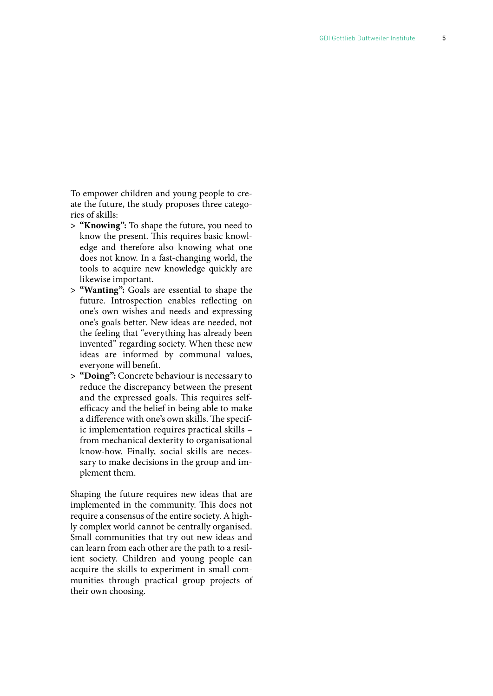To empower children and young people to cre ate the future, the study proposes three catego ries of skills:

- **> "Knowing":** To shape the future, you need to know the present. This requires basic knowl edge and therefore also knowing what one does not know. In a fast-changing world, the tools to acquire new knowledge quickly are likewise important.
- **> "Wanting":** Goals are essential to shape the future. Introspection enables reflecting on one's own wishes and needs and expressing one's goals better. New ideas are needed, not the feeling that "everything has already been invented" regarding society. When these new ideas are informed by communal values, everyone will benefit.
- **> "Doing":** Concrete behaviour is necessary to reduce the discrepancy between the present and the expressed goals. This requires selfefficacy and the belief in being able to make a difference with one's own skills. The specific implementation requires practical skills – from mechanical dexterity to organisational know-how. Finally, social skills are neces sary to make decisions in the group and im plement them.

Shaping the future requires new ideas that are implemented in the community. This does not require a consensus of the entire society. A high ly complex world cannot be centrally organised. Small communities that try out new ideas and can learn from each other are the path to a resil ient society. Children and young people can acquire the skills to experiment in small com munities through practical group projects of their own choosing.